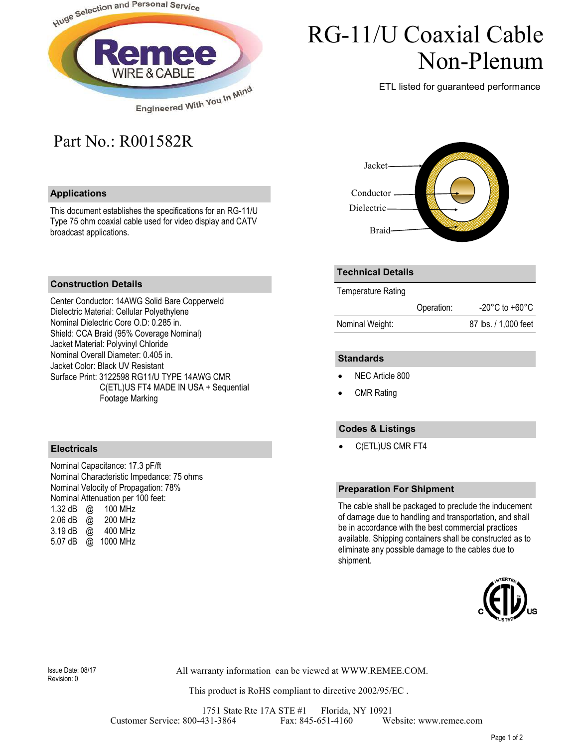

# RG-11/U Coaxial Cable Non-Plenum

ETL listed for guaranteed performance

# Part No.: R001582R

## **Applications**

This document establishes the specifications for an RG-11/U Type 75 ohm coaxial cable used for video display and CATV broadcast applications.



## **Construction Details**

Center Conductor: 14AWG Solid Bare Copperweld Dielectric Material: Cellular Polyethylene Nominal Dielectric Core O.D: 0.285 in. Shield: CCA Braid (95% Coverage Nominal) Jacket Material: Polyvinyl Chloride Nominal Overall Diameter: 0.405 in. Jacket Color: Black UV Resistant Surface Print: 3122598 RG11/U TYPE 14AWG CMR C(ETL)US FT4 MADE IN USA + Sequential Footage Marking

#### **Electricals**

Nominal Capacitance: 17.3 pF/ft Nominal Characteristic Impedance: 75 ohms Nominal Velocity of Propagation: 78% Nominal Attenuation per 100 feet: 1.32 dB @ 100 MHz 2.06 dB @ 200 MHz 3.19 dB @ 400 MHz 5.07 dB @ 1000 MHz

## **Technical Details**

Temperature Rating

|                 | Operation: | $-20^{\circ}$ C to $+60^{\circ}$ C |
|-----------------|------------|------------------------------------|
| Nominal Weight: |            | 87 lbs. / 1,000 feet               |

#### **Standards**

- NEC Article 800
- **CMR Rating**

## **Codes & Listings**

• C(ETL)US CMR FT4

#### **Preparation For Shipment**

The cable shall be packaged to preclude the inducement of damage due to handling and transportation, and shall be in accordance with the best commercial practices available. Shipping containers shall be constructed as to eliminate any possible damage to the cables due to shipment.



Revision: 0

All warranty information can be viewed at WWW.REMEE.COM. Issue Date: 08/17

This product is RoHS compliant to directive 2002/95/EC .

1751 State Rte 17A STE #1 Florida, NY 10921 Customer Service: 800-431-3864 Fax: 845-651-4160 Website: www.remee.com